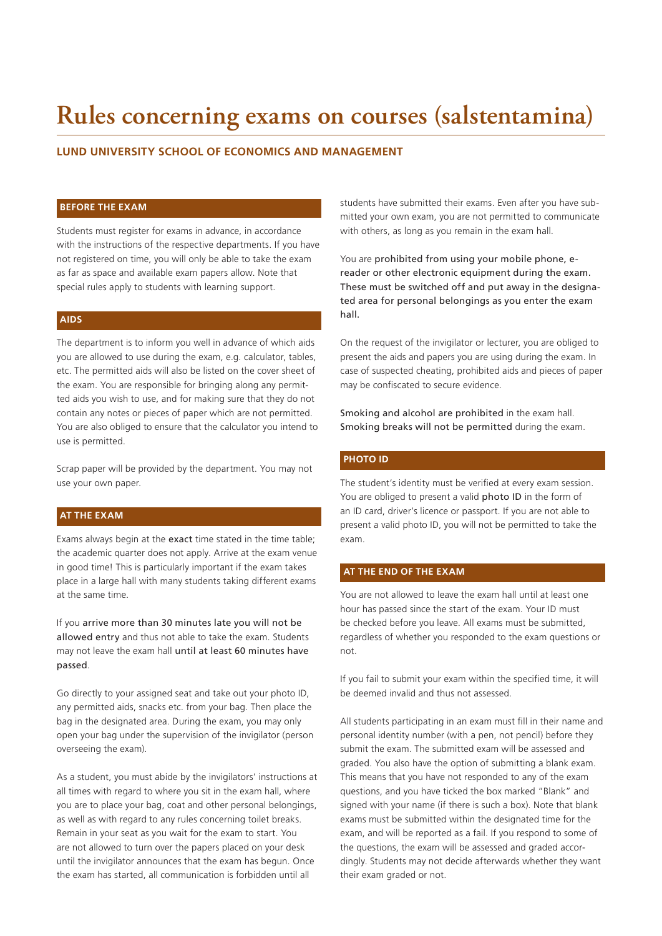# **Rules concerning exams on courses (salstentamina)**

## **LUND UNIVERSITY SCHOOL OF ECONOMICS AND MANAGEMENT**

#### **BEFORE THE EXAM**

Students must register for exams in advance, in accordance with the instructions of the respective departments. If you have not registered on time, you will only be able to take the exam as far as space and available exam papers allow. Note that special rules apply to students with learning support.

#### **AIDS**

The department is to inform you well in advance of which aids you are allowed to use during the exam, e.g. calculator, tables, etc. The permitted aids will also be listed on the cover sheet of the exam. You are responsible for bringing along any permitted aids you wish to use, and for making sure that they do not contain any notes or pieces of paper which are not permitted. You are also obliged to ensure that the calculator you intend to use is permitted.

Scrap paper will be provided by the department. You may not use your own paper.

#### **AT THE EXAM**

Exams always begin at the exact time stated in the time table; the academic quarter does not apply. Arrive at the exam venue in good time! This is particularly important if the exam takes place in a large hall with many students taking different exams at the same time.

If you arrive more than 30 minutes late you will not be allowed entry and thus not able to take the exam. Students may not leave the exam hall until at least 60 minutes have passed.

Go directly to your assigned seat and take out your photo ID, any permitted aids, snacks etc. from your bag. Then place the bag in the designated area. During the exam, you may only open your bag under the supervision of the invigilator (person overseeing the exam).

As a student, you must abide by the invigilators' instructions at all times with regard to where you sit in the exam hall, where you are to place your bag, coat and other personal belongings, as well as with regard to any rules concerning toilet breaks. Remain in your seat as you wait for the exam to start. You are not allowed to turn over the papers placed on your desk until the invigilator announces that the exam has begun. Once the exam has started, all communication is forbidden until all

students have submitted their exams. Even after you have submitted your own exam, you are not permitted to communicate with others, as long as you remain in the exam hall.

You are prohibited from using your mobile phone, ereader or other electronic equipment during the exam. These must be switched off and put away in the designated area for personal belongings as you enter the exam hall.

On the request of the invigilator or lecturer, you are obliged to present the aids and papers you are using during the exam. In case of suspected cheating, prohibited aids and pieces of paper may be confiscated to secure evidence.

Smoking and alcohol are prohibited in the exam hall. Smoking breaks will not be permitted during the exam.

# **PHOTO ID**

The student's identity must be verified at every exam session. You are obliged to present a valid photo ID in the form of an ID card, driver's licence or passport. If you are not able to present a valid photo ID, you will not be permitted to take the exam.

#### **AT THE END OF THE EXAM**

You are not allowed to leave the exam hall until at least one hour has passed since the start of the exam. Your ID must be checked before you leave. All exams must be submitted, regardless of whether you responded to the exam questions or not.

If you fail to submit your exam within the specified time, it will be deemed invalid and thus not assessed.

All students participating in an exam must fill in their name and personal identity number (with a pen, not pencil) before they submit the exam. The submitted exam will be assessed and graded. You also have the option of submitting a blank exam. This means that you have not responded to any of the exam questions, and you have ticked the box marked "Blank" and signed with your name (if there is such a box). Note that blank exams must be submitted within the designated time for the exam, and will be reported as a fail. If you respond to some of the questions, the exam will be assessed and graded accordingly. Students may not decide afterwards whether they want their exam graded or not.